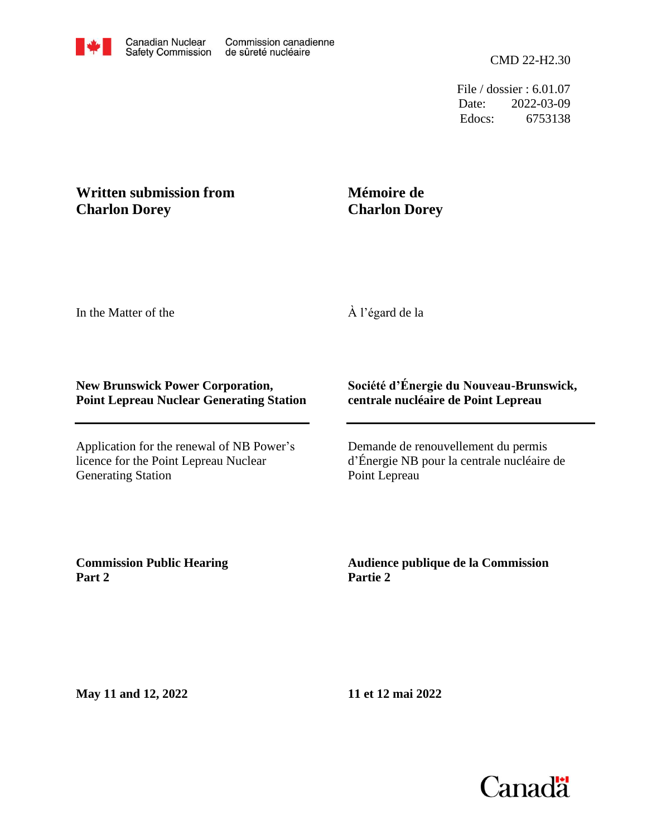File / dossier : 6.01.07 Date: 2022-03-09 Edocs: 6753138

## **Written submission from Charlon Dorey**

## **Mémoire de Charlon Dorey**

In the Matter of the

À l'égard de la

## **New Brunswick Power Corporation, Point Lepreau Nuclear Generating Station**

Application for the renewal of NB Power's licence for the Point Lepreau Nuclear Generating Station

## **Société d'Énergie du Nouveau-Brunswick, centrale nucléaire de Point Lepreau**

Demande de renouvellement du permis d'Énergie NB pour la centrale nucléaire de Point Lepreau

**Commission Public Hearing Part 2**

**Audience publique de la Commission Partie 2**

**May 11 and 12, 2022**

**11 et 12 mai 2022**